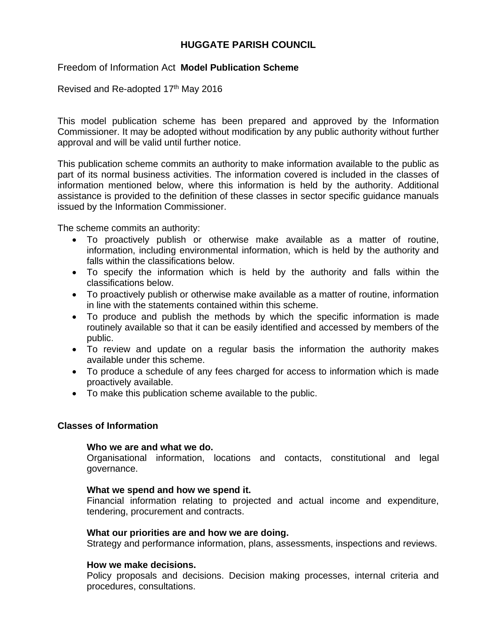# **HUGGATE PARISH COUNCIL**

## Freedom of Information Act **Model Publication Scheme**

## Revised and Re-adopted 17<sup>th</sup> May 2016

This model publication scheme has been prepared and approved by the Information Commissioner. It may be adopted without modification by any public authority without further approval and will be valid until further notice.

This publication scheme commits an authority to make information available to the public as part of its normal business activities. The information covered is included in the classes of information mentioned below, where this information is held by the authority. Additional assistance is provided to the definition of these classes in sector specific guidance manuals issued by the Information Commissioner.

The scheme commits an authority:

- To proactively publish or otherwise make available as a matter of routine, information, including environmental information, which is held by the authority and falls within the classifications below.
- To specify the information which is held by the authority and falls within the classifications below.
- To proactively publish or otherwise make available as a matter of routine, information in line with the statements contained within this scheme.
- To produce and publish the methods by which the specific information is made routinely available so that it can be easily identified and accessed by members of the public.
- To review and update on a regular basis the information the authority makes available under this scheme.
- To produce a schedule of any fees charged for access to information which is made proactively available.
- To make this publication scheme available to the public.

## **Classes of Information**

#### **Who we are and what we do.**

Organisational information, locations and contacts, constitutional and legal governance.

## **What we spend and how we spend it.**

Financial information relating to projected and actual income and expenditure, tendering, procurement and contracts.

#### **What our priorities are and how we are doing.**

Strategy and performance information, plans, assessments, inspections and reviews.

#### **How we make decisions.**

Policy proposals and decisions. Decision making processes, internal criteria and procedures, consultations.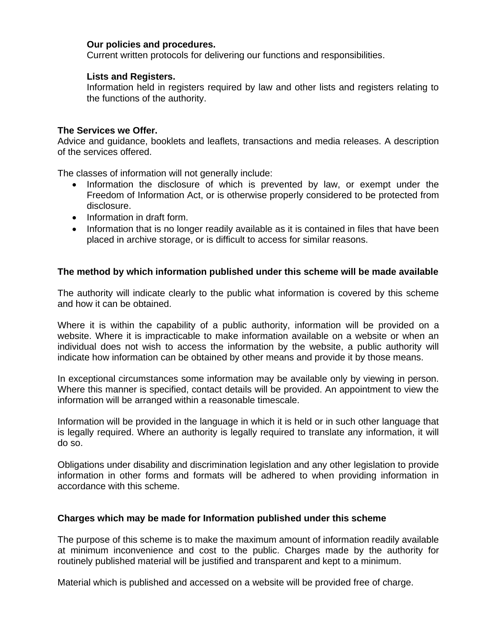## **Our policies and procedures.**

Current written protocols for delivering our functions and responsibilities.

#### **Lists and Registers.**

Information held in registers required by law and other lists and registers relating to the functions of the authority.

#### **The Services we Offer.**

Advice and guidance, booklets and leaflets, transactions and media releases. A description of the services offered.

The classes of information will not generally include:

- Information the disclosure of which is prevented by law, or exempt under the Freedom of Information Act, or is otherwise properly considered to be protected from disclosure.
- Information in draft form.
- Information that is no longer readily available as it is contained in files that have been placed in archive storage, or is difficult to access for similar reasons.

## **The method by which information published under this scheme will be made available**

The authority will indicate clearly to the public what information is covered by this scheme and how it can be obtained.

Where it is within the capability of a public authority, information will be provided on a website. Where it is impracticable to make information available on a website or when an individual does not wish to access the information by the website, a public authority will indicate how information can be obtained by other means and provide it by those means.

In exceptional circumstances some information may be available only by viewing in person. Where this manner is specified, contact details will be provided. An appointment to view the information will be arranged within a reasonable timescale.

Information will be provided in the language in which it is held or in such other language that is legally required. Where an authority is legally required to translate any information, it will do so.

Obligations under disability and discrimination legislation and any other legislation to provide information in other forms and formats will be adhered to when providing information in accordance with this scheme.

## **Charges which may be made for Information published under this scheme**

The purpose of this scheme is to make the maximum amount of information readily available at minimum inconvenience and cost to the public. Charges made by the authority for routinely published material will be justified and transparent and kept to a minimum.

Material which is published and accessed on a website will be provided free of charge.